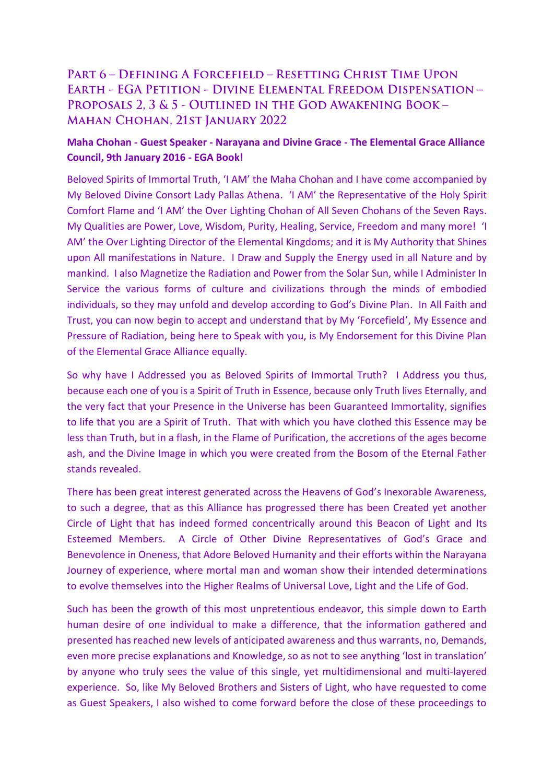## PART 6 - DEFINING A FORCEFIELD - RESETTING CHRIST TIME UPON **EARTH - EGA PETITION - DIVINE ELEMENTAL FREEDOM DISPENSATION -**PROPOSALS 2, 3 & 5 - OUTLINED IN THE GOD AWAKENING BOOK -**MAHAN CHOHAN, 21ST JANUARY 2022**

## **Maha Chohan - Guest Speaker - Narayana and Divine Grace - The Elemental Grace Alliance Council, 9th January 2016 - EGA Book!**

Beloved Spirits of Immortal Truth, 'I AM' the Maha Chohan and I have come accompanied by My Beloved Divine Consort Lady Pallas Athena. 'I AM' the Representative of the Holy Spirit Comfort Flame and 'I AM' the Over Lighting Chohan of All Seven Chohans of the Seven Rays. My Qualities are Power, Love, Wisdom, Purity, Healing, Service, Freedom and many more! 'I AM' the Over Lighting Director of the Elemental Kingdoms; and it is My Authority that Shines upon All manifestations in Nature. I Draw and Supply the Energy used in all Nature and by mankind. I also Magnetize the Radiation and Power from the Solar Sun, while I Administer In Service the various forms of culture and civilizations through the minds of embodied individuals, so they may unfold and develop according to God's Divine Plan. In All Faith and Trust, you can now begin to accept and understand that by My 'Forcefield', My Essence and Pressure of Radiation, being here to Speak with you, is My Endorsement for this Divine Plan of the Elemental Grace Alliance equally.

So why have I Addressed you as Beloved Spirits of Immortal Truth? I Address you thus, because each one of you is a Spirit of Truth in Essence, because only Truth lives Eternally, and the very fact that your Presence in the Universe has been Guaranteed Immortality, signifies to life that you are a Spirit of Truth. That with which you have clothed this Essence may be less than Truth, but in a flash, in the Flame of Purification, the accretions of the ages become ash, and the Divine Image in which you were created from the Bosom of the Eternal Father stands revealed.

There has been great interest generated across the Heavens of God's Inexorable Awareness, to such a degree, that as this Alliance has progressed there has been Created yet another Circle of Light that has indeed formed concentrically around this Beacon of Light and Its Esteemed Members. A Circle of Other Divine Representatives of God's Grace and Benevolence in Oneness, that Adore Beloved Humanity and their efforts within the Narayana Journey of experience, where mortal man and woman show their intended determinations to evolve themselves into the Higher Realms of Universal Love, Light and the Life of God.

Such has been the growth of this most unpretentious endeavor, this simple down to Earth human desire of one individual to make a difference, that the information gathered and presented has reached new levels of anticipated awareness and thus warrants, no, Demands, even more precise explanations and Knowledge, so as not to see anything 'lost in translation' by anyone who truly sees the value of this single, yet multidimensional and multi-layered experience. So, like My Beloved Brothers and Sisters of Light, who have requested to come as Guest Speakers, I also wished to come forward before the close of these proceedings to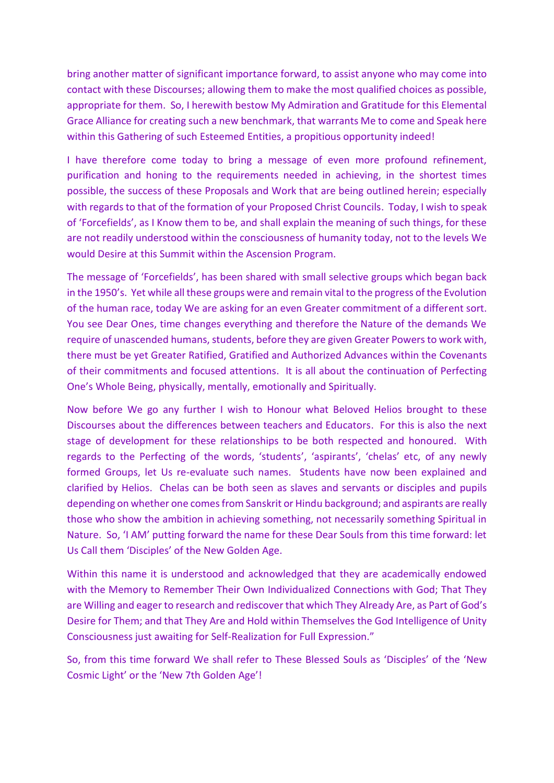bring another matter of significant importance forward, to assist anyone who may come into contact with these Discourses; allowing them to make the most qualified choices as possible, appropriate for them. So, I herewith bestow My Admiration and Gratitude for this Elemental Grace Alliance for creating such a new benchmark, that warrants Me to come and Speak here within this Gathering of such Esteemed Entities, a propitious opportunity indeed!

I have therefore come today to bring a message of even more profound refinement, purification and honing to the requirements needed in achieving, in the shortest times possible, the success of these Proposals and Work that are being outlined herein; especially with regards to that of the formation of your Proposed Christ Councils. Today, I wish to speak of 'Forcefields', as I Know them to be, and shall explain the meaning of such things, for these are not readily understood within the consciousness of humanity today, not to the levels We would Desire at this Summit within the Ascension Program.

The message of 'Forcefields', has been shared with small selective groups which began back in the 1950's. Yet while all these groups were and remain vital to the progress of the Evolution of the human race, today We are asking for an even Greater commitment of a different sort. You see Dear Ones, time changes everything and therefore the Nature of the demands We require of unascended humans, students, before they are given Greater Powers to work with, there must be yet Greater Ratified, Gratified and Authorized Advances within the Covenants of their commitments and focused attentions. It is all about the continuation of Perfecting One's Whole Being, physically, mentally, emotionally and Spiritually.

Now before We go any further I wish to Honour what Beloved Helios brought to these Discourses about the differences between teachers and Educators. For this is also the next stage of development for these relationships to be both respected and honoured. With regards to the Perfecting of the words, 'students', 'aspirants', 'chelas' etc, of any newly formed Groups, let Us re-evaluate such names. Students have now been explained and clarified by Helios. Chelas can be both seen as slaves and servants or disciples and pupils depending on whether one comes from Sanskrit or Hindu background; and aspirants are really those who show the ambition in achieving something, not necessarily something Spiritual in Nature. So, 'I AM' putting forward the name for these Dear Souls from this time forward: let Us Call them 'Disciples' of the New Golden Age.

Within this name it is understood and acknowledged that they are academically endowed with the Memory to Remember Their Own Individualized Connections with God; That They are Willing and eager to research and rediscover that which They Already Are, as Part of God's Desire for Them; and that They Are and Hold within Themselves the God Intelligence of Unity Consciousness just awaiting for Self-Realization for Full Expression."

So, from this time forward We shall refer to These Blessed Souls as 'Disciples' of the 'New Cosmic Light' or the 'New 7th Golden Age'!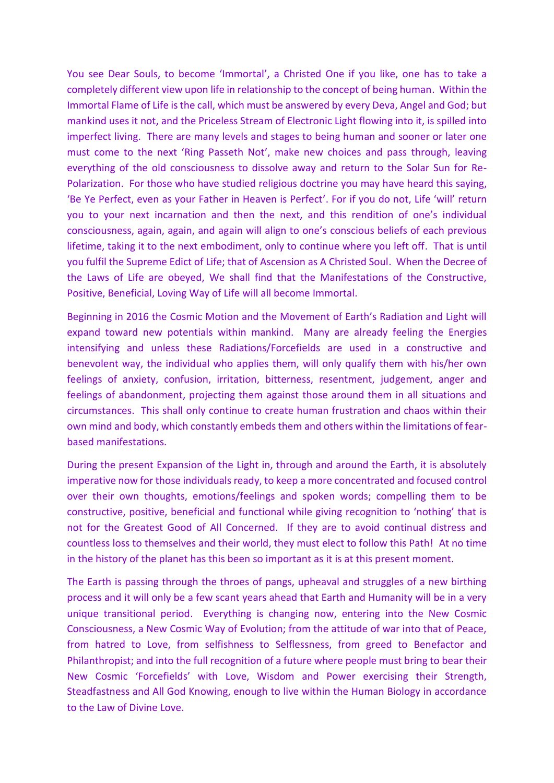You see Dear Souls, to become 'Immortal', a Christed One if you like, one has to take a completely different view upon life in relationship to the concept of being human. Within the Immortal Flame of Life is the call, which must be answered by every Deva, Angel and God; but mankind uses it not, and the Priceless Stream of Electronic Light flowing into it, is spilled into imperfect living. There are many levels and stages to being human and sooner or later one must come to the next 'Ring Passeth Not', make new choices and pass through, leaving everything of the old consciousness to dissolve away and return to the Solar Sun for Re-Polarization. For those who have studied religious doctrine you may have heard this saying, 'Be Ye Perfect, even as your Father in Heaven is Perfect'. For if you do not, Life 'will' return you to your next incarnation and then the next, and this rendition of one's individual consciousness, again, again, and again will align to one's conscious beliefs of each previous lifetime, taking it to the next embodiment, only to continue where you left off. That is until you fulfil the Supreme Edict of Life; that of Ascension as A Christed Soul. When the Decree of the Laws of Life are obeyed, We shall find that the Manifestations of the Constructive, Positive, Beneficial, Loving Way of Life will all become Immortal.

Beginning in 2016 the Cosmic Motion and the Movement of Earth's Radiation and Light will expand toward new potentials within mankind. Many are already feeling the Energies intensifying and unless these Radiations/Forcefields are used in a constructive and benevolent way, the individual who applies them, will only qualify them with his/her own feelings of anxiety, confusion, irritation, bitterness, resentment, judgement, anger and feelings of abandonment, projecting them against those around them in all situations and circumstances. This shall only continue to create human frustration and chaos within their own mind and body, which constantly embeds them and others within the limitations of fearbased manifestations.

During the present Expansion of the Light in, through and around the Earth, it is absolutely imperative now for those individuals ready, to keep a more concentrated and focused control over their own thoughts, emotions/feelings and spoken words; compelling them to be constructive, positive, beneficial and functional while giving recognition to 'nothing' that is not for the Greatest Good of All Concerned. If they are to avoid continual distress and countless loss to themselves and their world, they must elect to follow this Path! At no time in the history of the planet has this been so important as it is at this present moment.

The Earth is passing through the throes of pangs, upheaval and struggles of a new birthing process and it will only be a few scant years ahead that Earth and Humanity will be in a very unique transitional period. Everything is changing now, entering into the New Cosmic Consciousness, a New Cosmic Way of Evolution; from the attitude of war into that of Peace, from hatred to Love, from selfishness to Selflessness, from greed to Benefactor and Philanthropist; and into the full recognition of a future where people must bring to bear their New Cosmic 'Forcefields' with Love, Wisdom and Power exercising their Strength, Steadfastness and All God Knowing, enough to live within the Human Biology in accordance to the Law of Divine Love.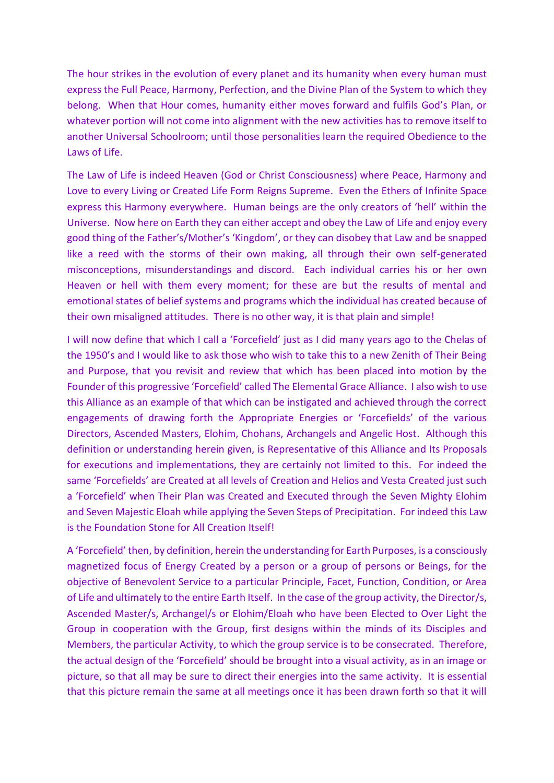The hour strikes in the evolution of every planet and its humanity when every human must express the Full Peace, Harmony, Perfection, and the Divine Plan of the System to which they belong. When that Hour comes, humanity either moves forward and fulfils God's Plan, or whatever portion will not come into alignment with the new activities has to remove itself to another Universal Schoolroom; until those personalities learn the required Obedience to the Laws of Life.

The Law of Life is indeed Heaven (God or Christ Consciousness) where Peace, Harmony and Love to every Living or Created Life Form Reigns Supreme. Even the Ethers of Infinite Space express this Harmony everywhere. Human beings are the only creators of 'hell' within the Universe. Now here on Earth they can either accept and obey the Law of Life and enjoy every good thing of the Father's/Mother's 'Kingdom', or they can disobey that Law and be snapped like a reed with the storms of their own making, all through their own self-generated misconceptions, misunderstandings and discord. Each individual carries his or her own Heaven or hell with them every moment; for these are but the results of mental and emotional states of belief systems and programs which the individual has created because of their own misaligned attitudes. There is no other way, it is that plain and simple!

I will now define that which I call a 'Forcefield' just as I did many years ago to the Chelas of the 1950's and I would like to ask those who wish to take this to a new Zenith of Their Being and Purpose, that you revisit and review that which has been placed into motion by the Founder of this progressive 'Forcefield' called The Elemental Grace Alliance. I also wish to use this Alliance as an example of that which can be instigated and achieved through the correct engagements of drawing forth the Appropriate Energies or 'Forcefields' of the various Directors, Ascended Masters, Elohim, Chohans, Archangels and Angelic Host. Although this definition or understanding herein given, is Representative of this Alliance and Its Proposals for executions and implementations, they are certainly not limited to this. For indeed the same 'Forcefields' are Created at all levels of Creation and Helios and Vesta Created just such a 'Forcefield' when Their Plan was Created and Executed through the Seven Mighty Elohim and Seven Majestic Eloah while applying the Seven Steps of Precipitation. For indeed this Law is the Foundation Stone for All Creation Itself!

A 'Forcefield' then, by definition, herein the understanding for Earth Purposes, is a consciously magnetized focus of Energy Created by a person or a group of persons or Beings, for the objective of Benevolent Service to a particular Principle, Facet, Function, Condition, or Area of Life and ultimately to the entire Earth Itself. In the case of the group activity, the Director/s, Ascended Master/s, Archangel/s or Elohim/Eloah who have been Elected to Over Light the Group in cooperation with the Group, first designs within the minds of its Disciples and Members, the particular Activity, to which the group service is to be consecrated. Therefore, the actual design of the 'Forcefield' should be brought into a visual activity, as in an image or picture, so that all may be sure to direct their energies into the same activity. It is essential that this picture remain the same at all meetings once it has been drawn forth so that it will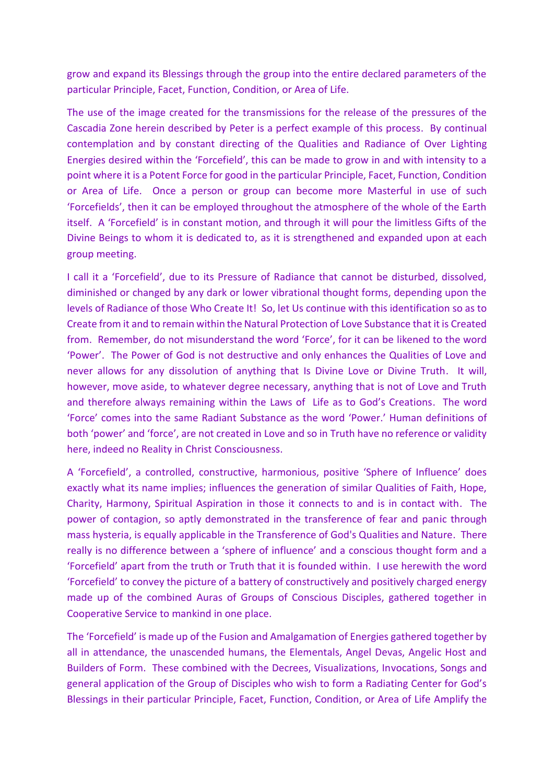grow and expand its Blessings through the group into the entire declared parameters of the particular Principle, Facet, Function, Condition, or Area of Life.

The use of the image created for the transmissions for the release of the pressures of the Cascadia Zone herein described by Peter is a perfect example of this process. By continual contemplation and by constant directing of the Qualities and Radiance of Over Lighting Energies desired within the 'Forcefield', this can be made to grow in and with intensity to a point where it is a Potent Force for good in the particular Principle, Facet, Function, Condition or Area of Life. Once a person or group can become more Masterful in use of such 'Forcefields', then it can be employed throughout the atmosphere of the whole of the Earth itself. A 'Forcefield' is in constant motion, and through it will pour the limitless Gifts of the Divine Beings to whom it is dedicated to, as it is strengthened and expanded upon at each group meeting.

I call it a 'Forcefield', due to its Pressure of Radiance that cannot be disturbed, dissolved, diminished or changed by any dark or lower vibrational thought forms, depending upon the levels of Radiance of those Who Create It! So, let Us continue with this identification so as to Create from it and to remain within the Natural Protection of Love Substance that it is Created from. Remember, do not misunderstand the word 'Force', for it can be likened to the word 'Power'. The Power of God is not destructive and only enhances the Qualities of Love and never allows for any dissolution of anything that Is Divine Love or Divine Truth. It will, however, move aside, to whatever degree necessary, anything that is not of Love and Truth and therefore always remaining within the Laws of Life as to God's Creations. The word 'Force' comes into the same Radiant Substance as the word 'Power.' Human definitions of both 'power' and 'force', are not created in Love and so in Truth have no reference or validity here, indeed no Reality in Christ Consciousness.

A 'Forcefield', a controlled, constructive, harmonious, positive 'Sphere of Influence' does exactly what its name implies; influences the generation of similar Qualities of Faith, Hope, Charity, Harmony, Spiritual Aspiration in those it connects to and is in contact with. The power of contagion, so aptly demonstrated in the transference of fear and panic through mass hysteria, is equally applicable in the Transference of God's Qualities and Nature. There really is no difference between a 'sphere of influence' and a conscious thought form and a 'Forcefield' apart from the truth or Truth that it is founded within. I use herewith the word 'Forcefield' to convey the picture of a battery of constructively and positively charged energy made up of the combined Auras of Groups of Conscious Disciples, gathered together in Cooperative Service to mankind in one place.

The 'Forcefield' is made up of the Fusion and Amalgamation of Energies gathered together by all in attendance, the unascended humans, the Elementals, Angel Devas, Angelic Host and Builders of Form. These combined with the Decrees, Visualizations, Invocations, Songs and general application of the Group of Disciples who wish to form a Radiating Center for God's Blessings in their particular Principle, Facet, Function, Condition, or Area of Life Amplify the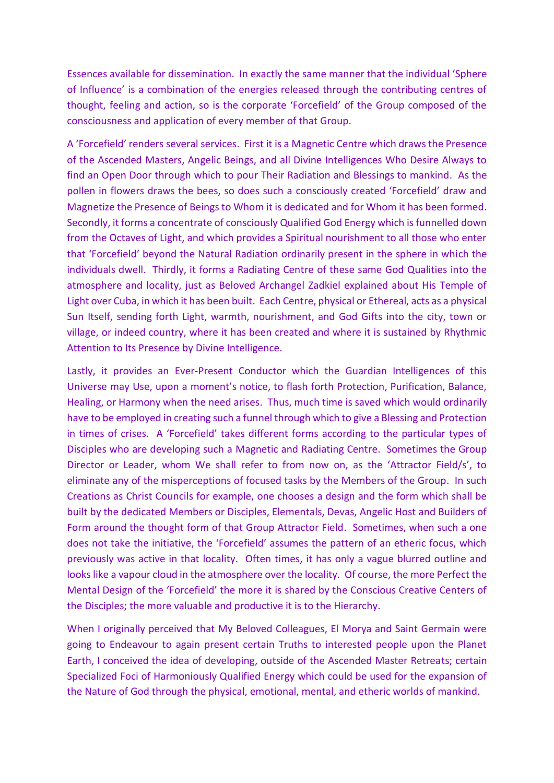Essences available for dissemination. In exactly the same manner that the individual 'Sphere of Influence' is a combination of the energies released through the contributing centres of thought, feeling and action, so is the corporate 'Forcefield' of the Group composed of the consciousness and application of every member of that Group.

A 'Forcefield' renders several services. First it is a Magnetic Centre which draws the Presence of the Ascended Masters, Angelic Beings, and all Divine Intelligences Who Desire Always to find an Open Door through which to pour Their Radiation and Blessings to mankind. As the pollen in flowers draws the bees, so does such a consciously created 'Forcefield' draw and Magnetize the Presence of Beings to Whom it is dedicated and for Whom it has been formed. Secondly, it forms a concentrate of consciously Qualified God Energy which is funnelled down from the Octaves of Light, and which provides a Spiritual nourishment to all those who enter that 'Forcefield' beyond the Natural Radiation ordinarily present in the sphere in which the individuals dwell. Thirdly, it forms a Radiating Centre of these same God Qualities into the atmosphere and locality, just as Beloved Archangel Zadkiel explained about His Temple of Light over Cuba, in which it has been built. Each Centre, physical or Ethereal, acts as a physical Sun Itself, sending forth Light, warmth, nourishment, and God Gifts into the city, town or village, or indeed country, where it has been created and where it is sustained by Rhythmic Attention to Its Presence by Divine Intelligence.

Lastly, it provides an Ever-Present Conductor which the Guardian Intelligences of this Universe may Use, upon a moment's notice, to flash forth Protection, Purification, Balance, Healing, or Harmony when the need arises. Thus, much time is saved which would ordinarily have to be employed in creating such a funnel through which to give a Blessing and Protection in times of crises. A 'Forcefield' takes different forms according to the particular types of Disciples who are developing such a Magnetic and Radiating Centre. Sometimes the Group Director or Leader, whom We shall refer to from now on, as the 'Attractor Field/s', to eliminate any of the misperceptions of focused tasks by the Members of the Group. In such Creations as Christ Councils for example, one chooses a design and the form which shall be built by the dedicated Members or Disciples, Elementals, Devas, Angelic Host and Builders of Form around the thought form of that Group Attractor Field. Sometimes, when such a one does not take the initiative, the 'Forcefield' assumes the pattern of an etheric focus, which previously was active in that locality. Often times, it has only a vague blurred outline and looks like a vapour cloud in the atmosphere over the locality. Of course, the more Perfect the Mental Design of the 'Forcefield' the more it is shared by the Conscious Creative Centers of the Disciples; the more valuable and productive it is to the Hierarchy.

When I originally perceived that My Beloved Colleagues, El Morya and Saint Germain were going to Endeavour to again present certain Truths to interested people upon the Planet Earth, I conceived the idea of developing, outside of the Ascended Master Retreats; certain Specialized Foci of Harmoniously Qualified Energy which could be used for the expansion of the Nature of God through the physical, emotional, mental, and etheric worlds of mankind.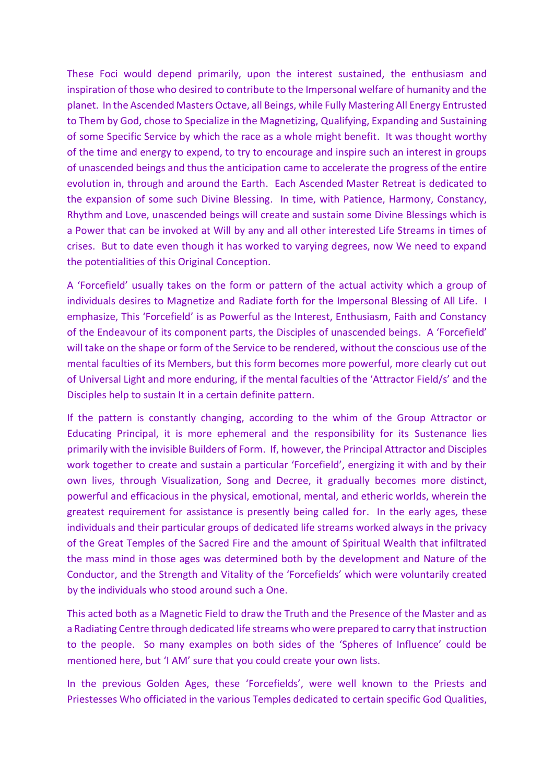These Foci would depend primarily, upon the interest sustained, the enthusiasm and inspiration of those who desired to contribute to the Impersonal welfare of humanity and the planet. In the Ascended Masters Octave, all Beings, while Fully Mastering All Energy Entrusted to Them by God, chose to Specialize in the Magnetizing, Qualifying, Expanding and Sustaining of some Specific Service by which the race as a whole might benefit. It was thought worthy of the time and energy to expend, to try to encourage and inspire such an interest in groups of unascended beings and thus the anticipation came to accelerate the progress of the entire evolution in, through and around the Earth. Each Ascended Master Retreat is dedicated to the expansion of some such Divine Blessing. In time, with Patience, Harmony, Constancy, Rhythm and Love, unascended beings will create and sustain some Divine Blessings which is a Power that can be invoked at Will by any and all other interested Life Streams in times of crises. But to date even though it has worked to varying degrees, now We need to expand the potentialities of this Original Conception.

A 'Forcefield' usually takes on the form or pattern of the actual activity which a group of individuals desires to Magnetize and Radiate forth for the Impersonal Blessing of All Life. I emphasize, This 'Forcefield' is as Powerful as the Interest, Enthusiasm, Faith and Constancy of the Endeavour of its component parts, the Disciples of unascended beings. A 'Forcefield' will take on the shape or form of the Service to be rendered, without the conscious use of the mental faculties of its Members, but this form becomes more powerful, more clearly cut out of Universal Light and more enduring, if the mental faculties of the 'Attractor Field/s' and the Disciples help to sustain It in a certain definite pattern.

If the pattern is constantly changing, according to the whim of the Group Attractor or Educating Principal, it is more ephemeral and the responsibility for its Sustenance lies primarily with the invisible Builders of Form. If, however, the Principal Attractor and Disciples work together to create and sustain a particular 'Forcefield', energizing it with and by their own lives, through Visualization, Song and Decree, it gradually becomes more distinct, powerful and efficacious in the physical, emotional, mental, and etheric worlds, wherein the greatest requirement for assistance is presently being called for. In the early ages, these individuals and their particular groups of dedicated life streams worked always in the privacy of the Great Temples of the Sacred Fire and the amount of Spiritual Wealth that infiltrated the mass mind in those ages was determined both by the development and Nature of the Conductor, and the Strength and Vitality of the 'Forcefields' which were voluntarily created by the individuals who stood around such a One.

This acted both as a Magnetic Field to draw the Truth and the Presence of the Master and as a Radiating Centre through dedicated life streams who were prepared to carry that instruction to the people. So many examples on both sides of the 'Spheres of Influence' could be mentioned here, but 'I AM' sure that you could create your own lists.

In the previous Golden Ages, these 'Forcefields', were well known to the Priests and Priestesses Who officiated in the various Temples dedicated to certain specific God Qualities,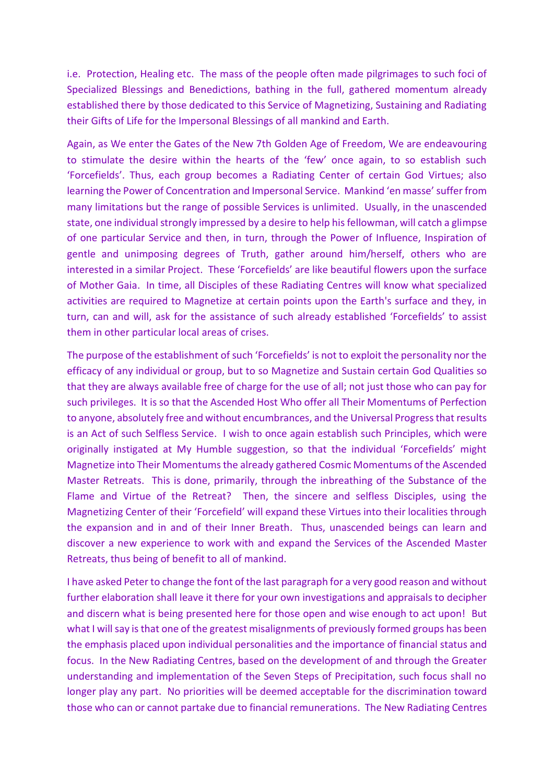i.e. Protection, Healing etc. The mass of the people often made pilgrimages to such foci of Specialized Blessings and Benedictions, bathing in the full, gathered momentum already established there by those dedicated to this Service of Magnetizing, Sustaining and Radiating their Gifts of Life for the Impersonal Blessings of all mankind and Earth.

Again, as We enter the Gates of the New 7th Golden Age of Freedom, We are endeavouring to stimulate the desire within the hearts of the 'few' once again, to so establish such 'Forcefields'. Thus, each group becomes a Radiating Center of certain God Virtues; also learning the Power of Concentration and Impersonal Service. Mankind 'en masse' suffer from many limitations but the range of possible Services is unlimited. Usually, in the unascended state, one individual strongly impressed by a desire to help his fellowman, will catch a glimpse of one particular Service and then, in turn, through the Power of Influence, Inspiration of gentle and unimposing degrees of Truth, gather around him/herself, others who are interested in a similar Project. These 'Forcefields' are like beautiful flowers upon the surface of Mother Gaia. In time, all Disciples of these Radiating Centres will know what specialized activities are required to Magnetize at certain points upon the Earth's surface and they, in turn, can and will, ask for the assistance of such already established 'Forcefields' to assist them in other particular local areas of crises.

The purpose of the establishment of such 'Forcefields' is not to exploit the personality nor the efficacy of any individual or group, but to so Magnetize and Sustain certain God Qualities so that they are always available free of charge for the use of all; not just those who can pay for such privileges. It is so that the Ascended Host Who offer all Their Momentums of Perfection to anyone, absolutely free and without encumbrances, and the Universal Progress that results is an Act of such Selfless Service. I wish to once again establish such Principles, which were originally instigated at My Humble suggestion, so that the individual 'Forcefields' might Magnetize into Their Momentums the already gathered Cosmic Momentums of the Ascended Master Retreats. This is done, primarily, through the inbreathing of the Substance of the Flame and Virtue of the Retreat? Then, the sincere and selfless Disciples, using the Magnetizing Center of their 'Forcefield' will expand these Virtues into their localities through the expansion and in and of their Inner Breath. Thus, unascended beings can learn and discover a new experience to work with and expand the Services of the Ascended Master Retreats, thus being of benefit to all of mankind.

I have asked Peter to change the font of the last paragraph for a very good reason and without further elaboration shall leave it there for your own investigations and appraisals to decipher and discern what is being presented here for those open and wise enough to act upon! But what I will say is that one of the greatest misalignments of previously formed groups has been the emphasis placed upon individual personalities and the importance of financial status and focus. In the New Radiating Centres, based on the development of and through the Greater understanding and implementation of the Seven Steps of Precipitation, such focus shall no longer play any part. No priorities will be deemed acceptable for the discrimination toward those who can or cannot partake due to financial remunerations. The New Radiating Centres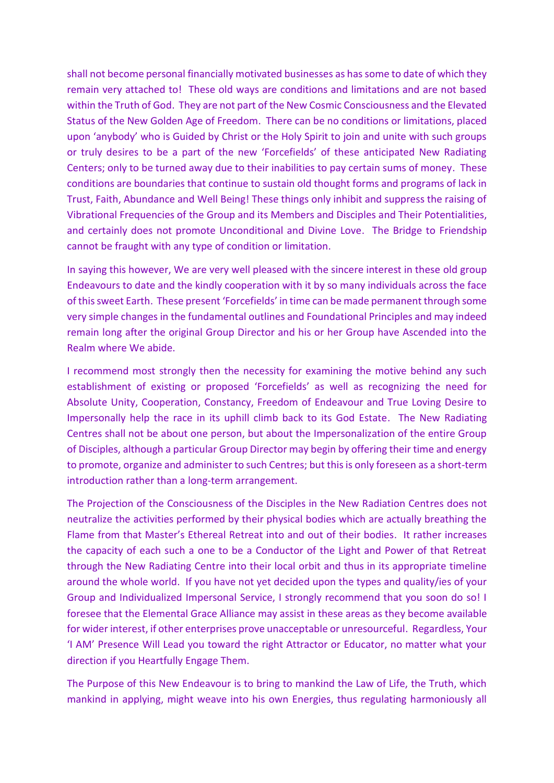shall not become personal financially motivated businesses as has some to date of which they remain very attached to! These old ways are conditions and limitations and are not based within the Truth of God. They are not part of the New Cosmic Consciousness and the Elevated Status of the New Golden Age of Freedom. There can be no conditions or limitations, placed upon 'anybody' who is Guided by Christ or the Holy Spirit to join and unite with such groups or truly desires to be a part of the new 'Forcefields' of these anticipated New Radiating Centers; only to be turned away due to their inabilities to pay certain sums of money. These conditions are boundaries that continue to sustain old thought forms and programs of lack in Trust, Faith, Abundance and Well Being! These things only inhibit and suppress the raising of Vibrational Frequencies of the Group and its Members and Disciples and Their Potentialities, and certainly does not promote Unconditional and Divine Love. The Bridge to Friendship cannot be fraught with any type of condition or limitation.

In saying this however, We are very well pleased with the sincere interest in these old group Endeavours to date and the kindly cooperation with it by so many individuals across the face of this sweet Earth. These present 'Forcefields' in time can be made permanent through some very simple changes in the fundamental outlines and Foundational Principles and may indeed remain long after the original Group Director and his or her Group have Ascended into the Realm where We abide.

I recommend most strongly then the necessity for examining the motive behind any such establishment of existing or proposed 'Forcefields' as well as recognizing the need for Absolute Unity, Cooperation, Constancy, Freedom of Endeavour and True Loving Desire to Impersonally help the race in its uphill climb back to its God Estate. The New Radiating Centres shall not be about one person, but about the Impersonalization of the entire Group of Disciples, although a particular Group Director may begin by offering their time and energy to promote, organize and administer to such Centres; but this is only foreseen as a short-term introduction rather than a long-term arrangement.

The Projection of the Consciousness of the Disciples in the New Radiation Centres does not neutralize the activities performed by their physical bodies which are actually breathing the Flame from that Master's Ethereal Retreat into and out of their bodies. It rather increases the capacity of each such a one to be a Conductor of the Light and Power of that Retreat through the New Radiating Centre into their local orbit and thus in its appropriate timeline around the whole world. If you have not yet decided upon the types and quality/ies of your Group and Individualized Impersonal Service, I strongly recommend that you soon do so! I foresee that the Elemental Grace Alliance may assist in these areas as they become available for wider interest, if other enterprises prove unacceptable or unresourceful. Regardless, Your 'I AM' Presence Will Lead you toward the right Attractor or Educator, no matter what your direction if you Heartfully Engage Them.

The Purpose of this New Endeavour is to bring to mankind the Law of Life, the Truth, which mankind in applying, might weave into his own Energies, thus regulating harmoniously all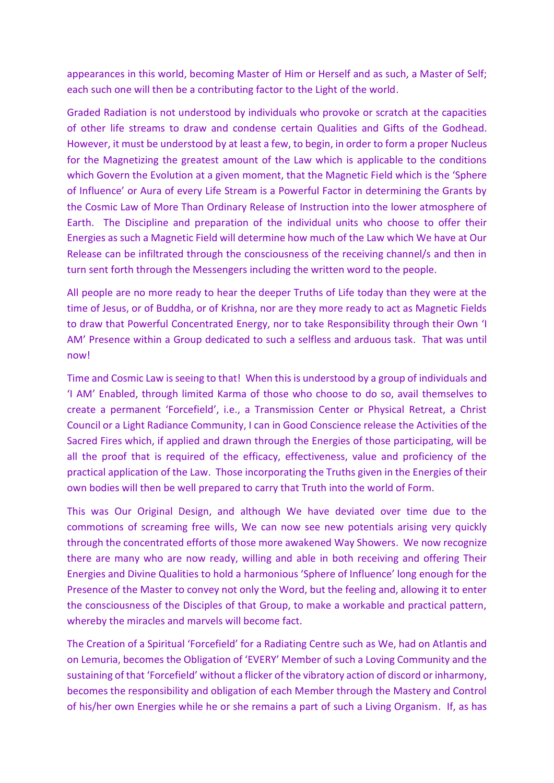appearances in this world, becoming Master of Him or Herself and as such, a Master of Self; each such one will then be a contributing factor to the Light of the world.

Graded Radiation is not understood by individuals who provoke or scratch at the capacities of other life streams to draw and condense certain Qualities and Gifts of the Godhead. However, it must be understood by at least a few, to begin, in order to form a proper Nucleus for the Magnetizing the greatest amount of the Law which is applicable to the conditions which Govern the Evolution at a given moment, that the Magnetic Field which is the 'Sphere of Influence' or Aura of every Life Stream is a Powerful Factor in determining the Grants by the Cosmic Law of More Than Ordinary Release of Instruction into the lower atmosphere of Earth. The Discipline and preparation of the individual units who choose to offer their Energies as such a Magnetic Field will determine how much of the Law which We have at Our Release can be infiltrated through the consciousness of the receiving channel/s and then in turn sent forth through the Messengers including the written word to the people.

All people are no more ready to hear the deeper Truths of Life today than they were at the time of Jesus, or of Buddha, or of Krishna, nor are they more ready to act as Magnetic Fields to draw that Powerful Concentrated Energy, nor to take Responsibility through their Own 'I AM' Presence within a Group dedicated to such a selfless and arduous task. That was until now!

Time and Cosmic Law is seeing to that! When this is understood by a group of individuals and 'I AM' Enabled, through limited Karma of those who choose to do so, avail themselves to create a permanent 'Forcefield', i.e., a Transmission Center or Physical Retreat, a Christ Council or a Light Radiance Community, I can in Good Conscience release the Activities of the Sacred Fires which, if applied and drawn through the Energies of those participating, will be all the proof that is required of the efficacy, effectiveness, value and proficiency of the practical application of the Law. Those incorporating the Truths given in the Energies of their own bodies will then be well prepared to carry that Truth into the world of Form.

This was Our Original Design, and although We have deviated over time due to the commotions of screaming free wills, We can now see new potentials arising very quickly through the concentrated efforts of those more awakened Way Showers. We now recognize there are many who are now ready, willing and able in both receiving and offering Their Energies and Divine Qualities to hold a harmonious 'Sphere of Influence' long enough for the Presence of the Master to convey not only the Word, but the feeling and, allowing it to enter the consciousness of the Disciples of that Group, to make a workable and practical pattern, whereby the miracles and marvels will become fact.

The Creation of a Spiritual 'Forcefield' for a Radiating Centre such as We, had on Atlantis and on Lemuria, becomes the Obligation of 'EVERY' Member of such a Loving Community and the sustaining of that 'Forcefield' without a flicker of the vibratory action of discord or inharmony, becomes the responsibility and obligation of each Member through the Mastery and Control of his/her own Energies while he or she remains a part of such a Living Organism. If, as has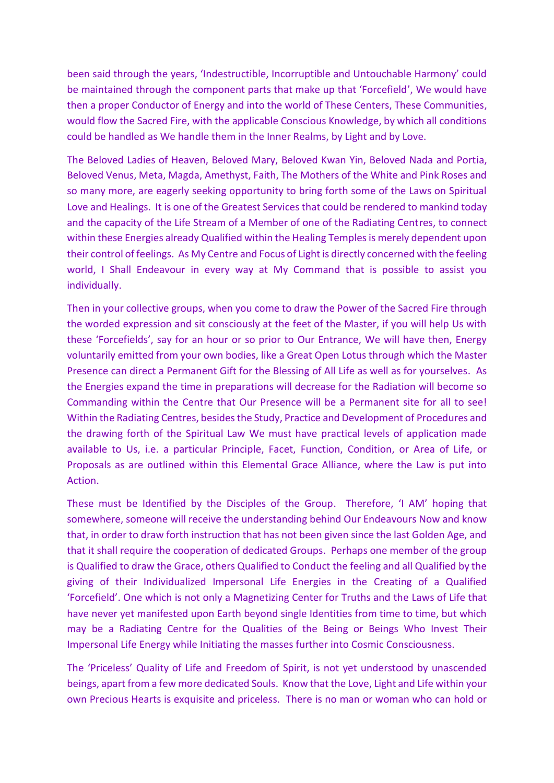been said through the years, 'Indestructible, Incorruptible and Untouchable Harmony' could be maintained through the component parts that make up that 'Forcefield', We would have then a proper Conductor of Energy and into the world of These Centers, These Communities, would flow the Sacred Fire, with the applicable Conscious Knowledge, by which all conditions could be handled as We handle them in the Inner Realms, by Light and by Love.

The Beloved Ladies of Heaven, Beloved Mary, Beloved Kwan Yin, Beloved Nada and Portia, Beloved Venus, Meta, Magda, Amethyst, Faith, The Mothers of the White and Pink Roses and so many more, are eagerly seeking opportunity to bring forth some of the Laws on Spiritual Love and Healings. It is one of the Greatest Services that could be rendered to mankind today and the capacity of the Life Stream of a Member of one of the Radiating Centres, to connect within these Energies already Qualified within the Healing Temples is merely dependent upon their control of feelings. As My Centre and Focus of Light is directly concerned with the feeling world, I Shall Endeavour in every way at My Command that is possible to assist you individually.

Then in your collective groups, when you come to draw the Power of the Sacred Fire through the worded expression and sit consciously at the feet of the Master, if you will help Us with these 'Forcefields', say for an hour or so prior to Our Entrance, We will have then, Energy voluntarily emitted from your own bodies, like a Great Open Lotus through which the Master Presence can direct a Permanent Gift for the Blessing of All Life as well as for yourselves. As the Energies expand the time in preparations will decrease for the Radiation will become so Commanding within the Centre that Our Presence will be a Permanent site for all to see! Within the Radiating Centres, besides the Study, Practice and Development of Procedures and the drawing forth of the Spiritual Law We must have practical levels of application made available to Us, i.e. a particular Principle, Facet, Function, Condition, or Area of Life, or Proposals as are outlined within this Elemental Grace Alliance, where the Law is put into Action.

These must be Identified by the Disciples of the Group. Therefore, 'I AM' hoping that somewhere, someone will receive the understanding behind Our Endeavours Now and know that, in order to draw forth instruction that has not been given since the last Golden Age, and that it shall require the cooperation of dedicated Groups. Perhaps one member of the group is Qualified to draw the Grace, others Qualified to Conduct the feeling and all Qualified by the giving of their Individualized Impersonal Life Energies in the Creating of a Qualified 'Forcefield'. One which is not only a Magnetizing Center for Truths and the Laws of Life that have never yet manifested upon Earth beyond single Identities from time to time, but which may be a Radiating Centre for the Qualities of the Being or Beings Who Invest Their Impersonal Life Energy while Initiating the masses further into Cosmic Consciousness.

The 'Priceless' Quality of Life and Freedom of Spirit, is not yet understood by unascended beings, apart from a few more dedicated Souls. Know that the Love, Light and Life within your own Precious Hearts is exquisite and priceless. There is no man or woman who can hold or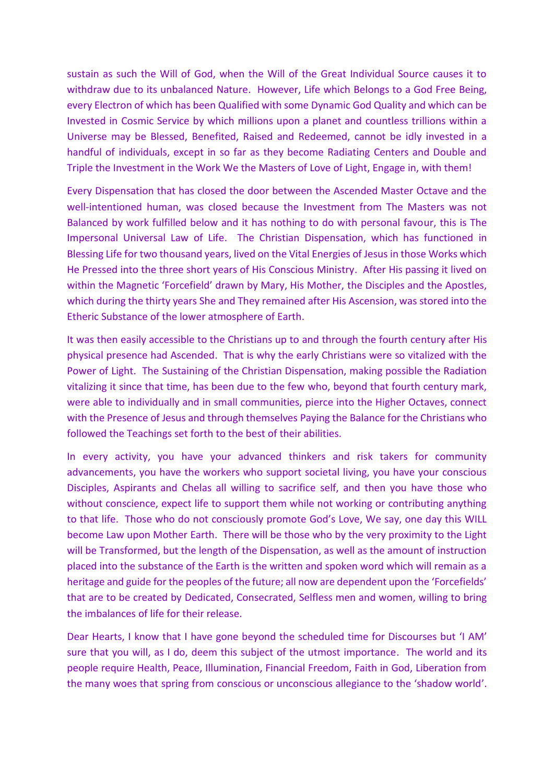sustain as such the Will of God, when the Will of the Great Individual Source causes it to withdraw due to its unbalanced Nature. However, Life which Belongs to a God Free Being, every Electron of which has been Qualified with some Dynamic God Quality and which can be Invested in Cosmic Service by which millions upon a planet and countless trillions within a Universe may be Blessed, Benefited, Raised and Redeemed, cannot be idly invested in a handful of individuals, except in so far as they become Radiating Centers and Double and Triple the Investment in the Work We the Masters of Love of Light, Engage in, with them!

Every Dispensation that has closed the door between the Ascended Master Octave and the well-intentioned human, was closed because the Investment from The Masters was not Balanced by work fulfilled below and it has nothing to do with personal favour, this is The Impersonal Universal Law of Life. The Christian Dispensation, which has functioned in Blessing Life for two thousand years, lived on the Vital Energies of Jesus in those Works which He Pressed into the three short years of His Conscious Ministry. After His passing it lived on within the Magnetic 'Forcefield' drawn by Mary, His Mother, the Disciples and the Apostles, which during the thirty years She and They remained after His Ascension, was stored into the Etheric Substance of the lower atmosphere of Earth.

It was then easily accessible to the Christians up to and through the fourth century after His physical presence had Ascended. That is why the early Christians were so vitalized with the Power of Light. The Sustaining of the Christian Dispensation, making possible the Radiation vitalizing it since that time, has been due to the few who, beyond that fourth century mark, were able to individually and in small communities, pierce into the Higher Octaves, connect with the Presence of Jesus and through themselves Paying the Balance for the Christians who followed the Teachings set forth to the best of their abilities.

In every activity, you have your advanced thinkers and risk takers for community advancements, you have the workers who support societal living, you have your conscious Disciples, Aspirants and Chelas all willing to sacrifice self, and then you have those who without conscience, expect life to support them while not working or contributing anything to that life. Those who do not consciously promote God's Love, We say, one day this WILL become Law upon Mother Earth. There will be those who by the very proximity to the Light will be Transformed, but the length of the Dispensation, as well as the amount of instruction placed into the substance of the Earth is the written and spoken word which will remain as a heritage and guide for the peoples of the future; all now are dependent upon the 'Forcefields' that are to be created by Dedicated, Consecrated, Selfless men and women, willing to bring the imbalances of life for their release.

Dear Hearts, I know that I have gone beyond the scheduled time for Discourses but 'I AM' sure that you will, as I do, deem this subject of the utmost importance. The world and its people require Health, Peace, Illumination, Financial Freedom, Faith in God, Liberation from the many woes that spring from conscious or unconscious allegiance to the 'shadow world'.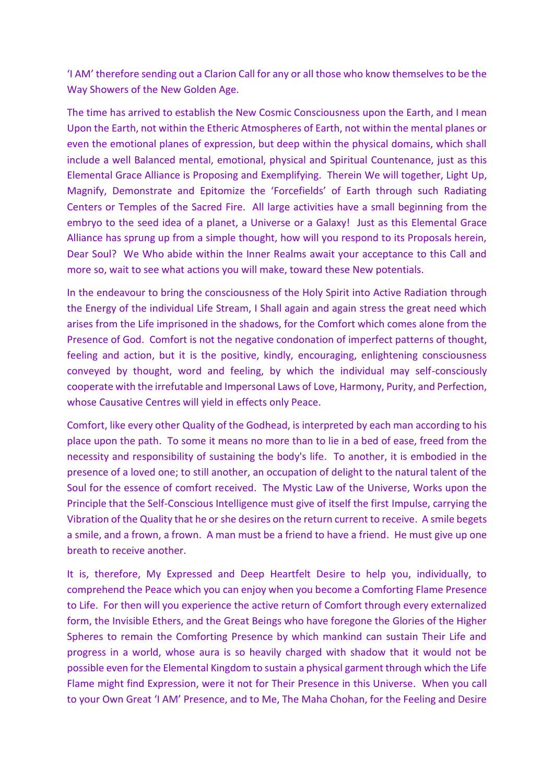'I AM' therefore sending out a Clarion Call for any or all those who know themselves to be the Way Showers of the New Golden Age.

The time has arrived to establish the New Cosmic Consciousness upon the Earth, and I mean Upon the Earth, not within the Etheric Atmospheres of Earth, not within the mental planes or even the emotional planes of expression, but deep within the physical domains, which shall include a well Balanced mental, emotional, physical and Spiritual Countenance, just as this Elemental Grace Alliance is Proposing and Exemplifying. Therein We will together, Light Up, Magnify, Demonstrate and Epitomize the 'Forcefields' of Earth through such Radiating Centers or Temples of the Sacred Fire. All large activities have a small beginning from the embryo to the seed idea of a planet, a Universe or a Galaxy! Just as this Elemental Grace Alliance has sprung up from a simple thought, how will you respond to its Proposals herein, Dear Soul? We Who abide within the Inner Realms await your acceptance to this Call and more so, wait to see what actions you will make, toward these New potentials.

In the endeavour to bring the consciousness of the Holy Spirit into Active Radiation through the Energy of the individual Life Stream, I Shall again and again stress the great need which arises from the Life imprisoned in the shadows, for the Comfort which comes alone from the Presence of God. Comfort is not the negative condonation of imperfect patterns of thought, feeling and action, but it is the positive, kindly, encouraging, enlightening consciousness conveyed by thought, word and feeling, by which the individual may self-consciously cooperate with the irrefutable and Impersonal Laws of Love, Harmony, Purity, and Perfection, whose Causative Centres will yield in effects only Peace.

Comfort, like every other Quality of the Godhead, is interpreted by each man according to his place upon the path. To some it means no more than to lie in a bed of ease, freed from the necessity and responsibility of sustaining the body's life. To another, it is embodied in the presence of a loved one; to still another, an occupation of delight to the natural talent of the Soul for the essence of comfort received. The Mystic Law of the Universe, Works upon the Principle that the Self-Conscious Intelligence must give of itself the first Impulse, carrying the Vibration of the Quality that he or she desires on the return current to receive. A smile begets a smile, and a frown, a frown. A man must be a friend to have a friend. He must give up one breath to receive another.

It is, therefore, My Expressed and Deep Heartfelt Desire to help you, individually, to comprehend the Peace which you can enjoy when you become a Comforting Flame Presence to Life. For then will you experience the active return of Comfort through every externalized form, the Invisible Ethers, and the Great Beings who have foregone the Glories of the Higher Spheres to remain the Comforting Presence by which mankind can sustain Their Life and progress in a world, whose aura is so heavily charged with shadow that it would not be possible even for the Elemental Kingdom to sustain a physical garment through which the Life Flame might find Expression, were it not for Their Presence in this Universe. When you call to your Own Great 'I AM' Presence, and to Me, The Maha Chohan, for the Feeling and Desire